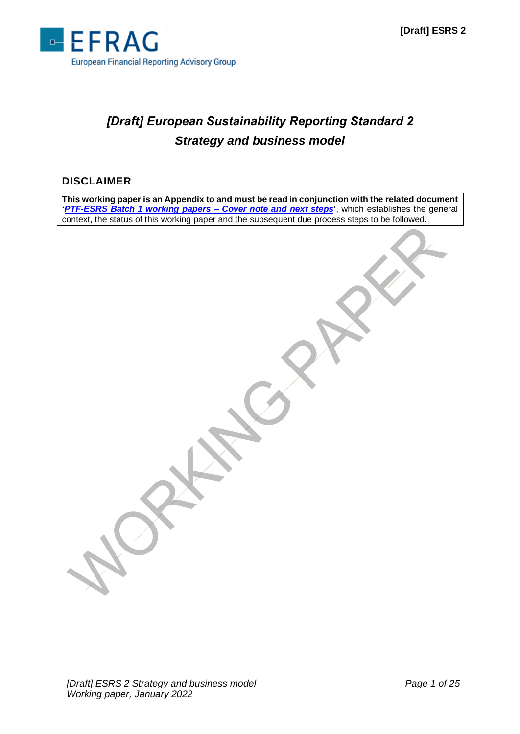

# *[Draft] European Sustainability Reporting Standard 2 Strategy and business model*

## **DISCLAIMER**

**This working paper is an Appendix to and must be read in conjunction with the related document '***[PTF-ESRS Batch 1 working papers –](http://www.efrag.org/Assets/Download?assetUrl=/sites/webpublishing/SiteAssets/Cover%20note%20for%20Batch%201%20WPs.pdf) Cover note and next steps***'**, which establishes the general context, the status of this working paper and the subsequent due process steps to be followed.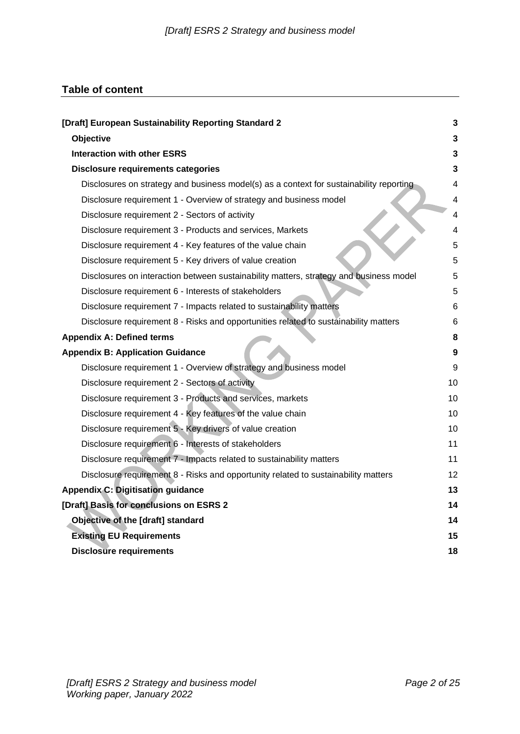## **Table of content**

| [Draft] European Sustainability Reporting Standard 2                                    | $\mathbf{3}$     |
|-----------------------------------------------------------------------------------------|------------------|
| Objective                                                                               | $\mathbf 3$      |
| <b>Interaction with other ESRS</b>                                                      | $\overline{3}$   |
| <b>Disclosure requirements categories</b>                                               | $\mathbf{3}$     |
| Disclosures on strategy and business model(s) as a context for sustainability reporting | 4                |
| Disclosure requirement 1 - Overview of strategy and business model                      | 4                |
| Disclosure requirement 2 - Sectors of activity                                          | 4                |
| Disclosure requirement 3 - Products and services, Markets                               | 4                |
| Disclosure requirement 4 - Key features of the value chain                              | 5                |
| Disclosure requirement 5 - Key drivers of value creation                                | 5                |
| Disclosures on interaction between sustainability matters, strategy and business model  | 5                |
| Disclosure requirement 6 - Interests of stakeholders                                    | 5                |
| Disclosure requirement 7 - Impacts related to sustainability matters                    | 6                |
| Disclosure requirement 8 - Risks and opportunities related to sustainability matters    | 6                |
| <b>Appendix A: Defined terms</b>                                                        | 8                |
| <b>Appendix B: Application Guidance</b>                                                 | $\boldsymbol{9}$ |
| Disclosure requirement 1 - Overview of strategy and business model                      | 9                |
| Disclosure requirement 2 - Sectors of activity                                          | 10               |
| Disclosure requirement 3 - Products and services, markets                               | 10               |
| Disclosure requirement 4 - Key features of the value chain                              | 10               |
| Disclosure requirement 5 - Key drivers of value creation                                | 10               |
| Disclosure requirement 6 - Interests of stakeholders                                    | 11               |
| Disclosure requirement 7 - Impacts related to sustainability matters                    | 11               |
| Disclosure requirement 8 - Risks and opportunity related to sustainability matters      | 12               |
| <b>Appendix C: Digitisation guidance</b>                                                | 13               |
| [Draft] Basis for conclusions on ESRS 2                                                 | 14               |
| Objective of the [draft] standard                                                       | 14               |
| <b>Existing EU Requirements</b>                                                         | 15               |
| <b>Disclosure requirements</b>                                                          | 18               |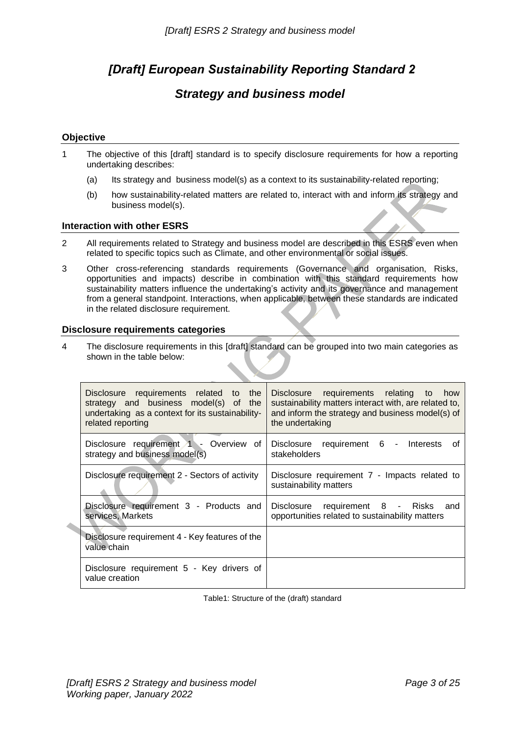## <span id="page-2-0"></span>*[Draft] European Sustainability Reporting Standard 2*

## *Strategy and business model*

## <span id="page-2-1"></span>**Objective**

- 1 The objective of this [draft] standard is to specify disclosure requirements for how a reporting undertaking describes:
	- (a) Its strategy and business model(s) as a context to its sustainability-related reporting;
	- (b) how sustainability-related matters are related to, interact with and inform its strategy and business model(s).

## <span id="page-2-2"></span>**Interaction with other ESRS**

- 2 All requirements related to Strategy and business model are described in this ESRS even when related to specific topics such as Climate, and other environmental or social issues.
- 3 Other cross-referencing standards requirements (Governance and organisation, Risks, opportunities and impacts) describe in combination with this standard requirements how sustainability matters influence the undertaking's activity and its governance and management from a general standpoint. Interactions, when applicable, between these standards are indicated in the related disclosure requirement.

## <span id="page-2-3"></span>**Disclosure requirements categories**

4 The disclosure requirements in this [draft] standard can be grouped into two main categories as shown in the table below:

| Disclosure requirements related to the<br>strategy and business model(s) of<br>the<br>undertaking as a context for its sustainability-<br>related reporting | Disclosure requirements relating to<br>how<br>sustainability matters interact with, are related to,<br>and inform the strategy and business model(s) of<br>the undertaking |  |
|-------------------------------------------------------------------------------------------------------------------------------------------------------------|----------------------------------------------------------------------------------------------------------------------------------------------------------------------------|--|
| Disclosure requirement 1 - Overview of<br>strategy and business model(s)                                                                                    | Disclosure requirement 6 - Interests<br>Οt<br>stakeholders                                                                                                                 |  |
| Disclosure requirement 2 - Sectors of activity                                                                                                              | Disclosure requirement 7 - Impacts related to<br>sustainability matters                                                                                                    |  |
| Disclosure requirement 3 - Products and<br>services, Markets                                                                                                | Disclosure requirement 8 - Risks<br>and<br>opportunities related to sustainability matters                                                                                 |  |
| Disclosure requirement 4 - Key features of the<br>value chain                                                                                               |                                                                                                                                                                            |  |
| Disclosure requirement 5 - Key drivers of<br>value creation                                                                                                 |                                                                                                                                                                            |  |

Table1: Structure of the (draft) standard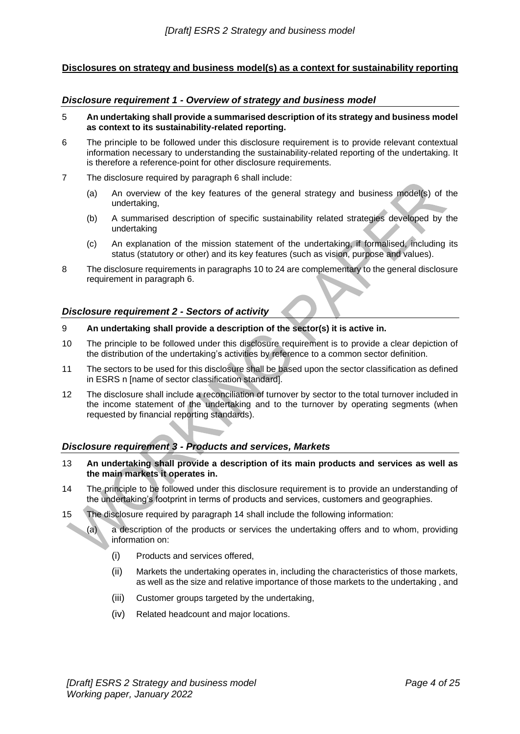## <span id="page-3-0"></span>**Disclosures on strategy and business model(s) as a context for sustainability reporting**

#### <span id="page-3-1"></span>*Disclosure requirement 1 - Overview of strategy and business model*

- 5 **An undertaking shall provide a summarised description of its strategy and business model as context to its sustainability-related reporting.**
- 6 The principle to be followed under this disclosure requirement is to provide relevant contextual information necessary to understanding the sustainability-related reporting of the undertaking. It is therefore a reference-point for other disclosure requirements.
- 7 The disclosure required by paragraph 6 shall include:
	- (a) An overview of the key features of the general strategy and business model(s) of the undertaking,
	- (b) A summarised description of specific sustainability related strategies developed by the undertaking
	- (c) An explanation of the mission statement of the undertaking, if formalised, including its status (statutory or other) and its key features (such as vision, purpose and values).
- 8 The disclosure requirements in paragraphs 10 to 24 are complementary to the general disclosure requirement in paragraph 6.

## <span id="page-3-2"></span>*Disclosure requirement 2 - Sectors of activity*

- 9 **An undertaking shall provide a description of the sector(s) it is active in.**
- 10 The principle to be followed under this disclosure requirement is to provide a clear depiction of the distribution of the undertaking's activities by reference to a common sector definition.
- 11 The sectors to be used for this disclosure shall be based upon the sector classification as defined in ESRS n [name of sector classification standard].
- 12 The disclosure shall include a reconciliation of turnover by sector to the total turnover included in the income statement of the undertaking and to the turnover by operating segments (when requested by financial reporting standards).

## <span id="page-3-3"></span>*Disclosure requirement 3 - Products and services, Markets*

- 13 **An undertaking shall provide a description of its main products and services as well as the main markets it operates in.**
- 14 The principle to be followed under this disclosure requirement is to provide an understanding of the undertaking's footprint in terms of products and services, customers and geographies.
- 15 The disclosure required by paragraph 14 shall include the following information:

(a) a description of the products or services the undertaking offers and to whom, providing information on:

- (i) Products and services offered,
- (ii) Markets the undertaking operates in, including the characteristics of those markets, as well as the size and relative importance of those markets to the undertaking , and
- (iii) Customer groups targeted by the undertaking,
- (iv) Related headcount and major locations.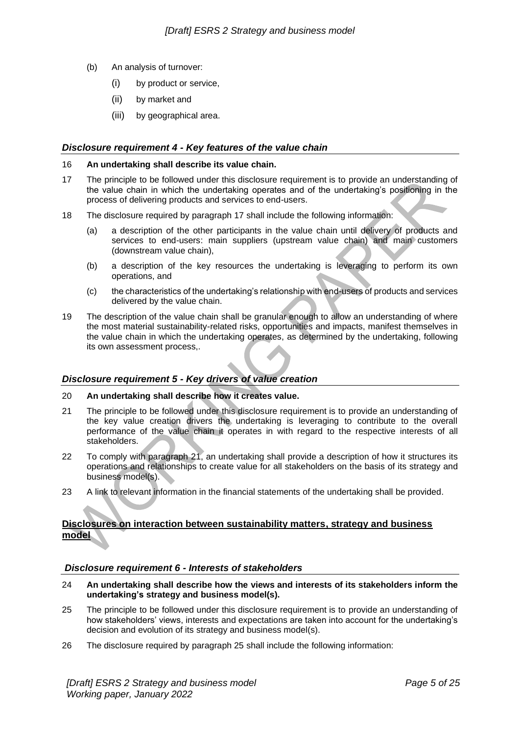- (b) An analysis of turnover:
	- (i) by product or service,
	- (ii) by market and
	- (iii) by geographical area.

## <span id="page-4-0"></span>*Disclosure requirement 4 - Key features of the value chain*

#### 16 **An undertaking shall describe its value chain.**

- 17 The principle to be followed under this disclosure requirement is to provide an understanding of the value chain in which the undertaking operates and of the undertaking's positioning in the process of delivering products and services to end-users.
- 18 The disclosure required by paragraph 17 shall include the following information:
	- (a) a description of the other participants in the value chain until delivery of products and services to end-users: main suppliers (upstream value chain) and main customers (downstream value chain),
	- (b) a description of the key resources the undertaking is leveraging to perform its own operations, and
	- (c) the characteristics of the undertaking's relationship with end-users of products and services delivered by the value chain.
- 19 The description of the value chain shall be granular enough to allow an understanding of where the most material sustainability-related risks, opportunities and impacts, manifest themselves in the value chain in which the undertaking operates, as determined by the undertaking, following its own assessment process,.

## <span id="page-4-1"></span>*Disclosure requirement 5 - Key drivers of value creation*

## 20 **An undertaking shall describe how it creates value.**

- 21 The principle to be followed under this disclosure requirement is to provide an understanding of the key value creation drivers the undertaking is leveraging to contribute to the overall performance of the value chain it operates in with regard to the respective interests of all stakeholders.
- 22 To comply with paragraph 21, an undertaking shall provide a description of how it structures its operations and relationships to create value for all stakeholders on the basis of its strategy and business model(s).
- 23 A link to relevant information in the financial statements of the undertaking shall be provided.

## <span id="page-4-2"></span>**Disclosures on interaction between sustainability matters, strategy and business model**

## <span id="page-4-3"></span>*Disclosure requirement 6 - Interests of stakeholders*

- 24 **An undertaking shall describe how the views and interests of its stakeholders inform the undertaking's strategy and business model(s).**
- 25 The principle to be followed under this disclosure requirement is to provide an understanding of how stakeholders' views, interests and expectations are taken into account for the undertaking's decision and evolution of its strategy and business model(s).
- 26 The disclosure required by paragraph 25 shall include the following information: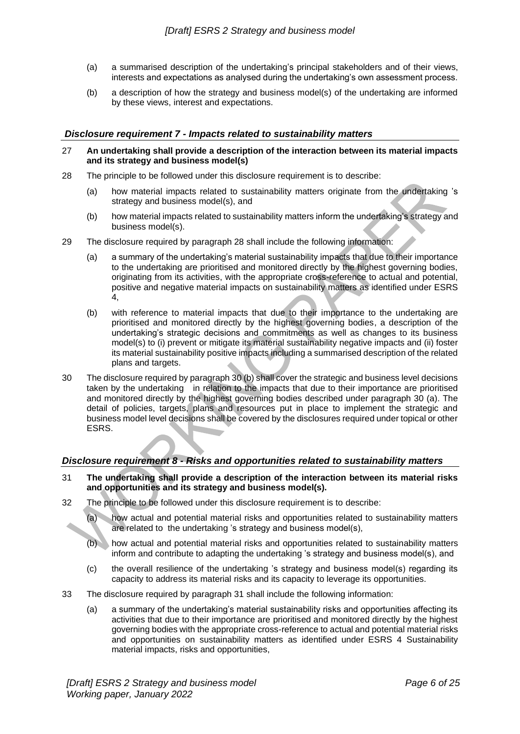- (a) a summarised description of the undertaking's principal stakeholders and of their views, interests and expectations as analysed during the undertaking's own assessment process.
- (b) a description of how the strategy and business model(s) of the undertaking are informed by these views, interest and expectations.

## <span id="page-5-0"></span>*Disclosure requirement 7 - Impacts related to sustainability matters*

- 27 **An undertaking shall provide a description of the interaction between its material impacts and its strategy and business model(s)**
- 28 The principle to be followed under this disclosure requirement is to describe:
	- (a) how material impacts related to sustainability matters originate from the undertaking 's strategy and business model(s), and
	- (b) how material impacts related to sustainability matters inform the undertaking's strategy and business model(s).
- 29 The disclosure required by paragraph 28 shall include the following information:
	- (a) a summary of the undertaking's material sustainability impacts that due to their importance to the undertaking are prioritised and monitored directly by the highest governing bodies, originating from its activities, with the appropriate cross-reference to actual and potential, positive and negative material impacts on sustainability matters as identified under ESRS 4,
	- (b) with reference to material impacts that due to their importance to the undertaking are prioritised and monitored directly by the highest governing bodies, a description of the undertaking's strategic decisions and commitments as well as changes to its business model(s) to (i) prevent or mitigate its material sustainability negative impacts and (ii) foster its material sustainability positive impacts including a summarised description of the related plans and targets.
- 30 The disclosure required by paragraph 30 (b) shall cover the strategic and business level decisions taken by the undertaking in relation to the impacts that due to their importance are prioritised and monitored directly by the highest governing bodies described under paragraph 30 (a). The detail of policies, targets, plans and resources put in place to implement the strategic and business model level decisions shall be covered by the disclosures required under topical or other ESRS.

## <span id="page-5-1"></span>*Disclosure requirement 8 - Risks and opportunities related to sustainability matters*

- 31 **The undertaking shall provide a description of the interaction between its material risks and opportunities and its strategy and business model(s).**
- 32 The principle to be followed under this disclosure requirement is to describe:

(a) how actual and potential material risks and opportunities related to sustainability matters are related to the undertaking 's strategy and business model(s),

- (b) how actual and potential material risks and opportunities related to sustainability matters inform and contribute to adapting the undertaking 's strategy and business model(s), and
- (c) the overall resilience of the undertaking 's strategy and business model(s) regarding its capacity to address its material risks and its capacity to leverage its opportunities.
- 33 The disclosure required by paragraph 31 shall include the following information:
	- (a) a summary of the undertaking's material sustainability risks and opportunities affecting its activities that due to their importance are prioritised and monitored directly by the highest governing bodies with the appropriate cross-reference to actual and potential material risks and opportunities on sustainability matters as identified under ESRS 4 Sustainability material impacts, risks and opportunities,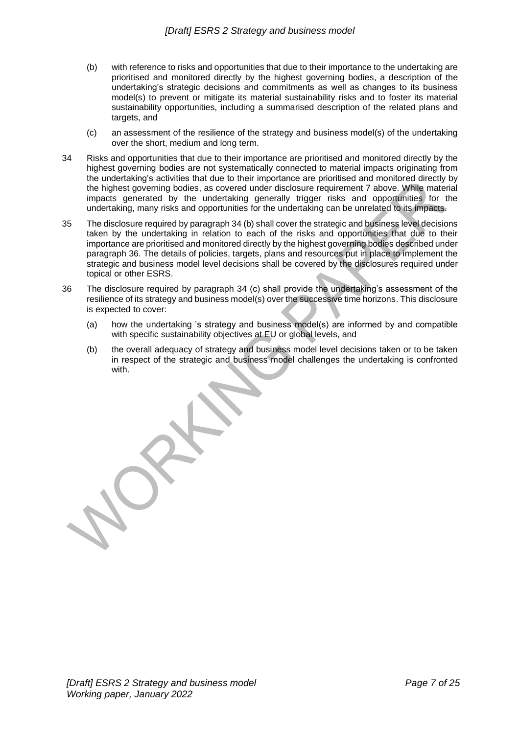- (b) with reference to risks and opportunities that due to their importance to the undertaking are prioritised and monitored directly by the highest governing bodies, a description of the undertaking's strategic decisions and commitments as well as changes to its business model(s) to prevent or mitigate its material sustainability risks and to foster its material sustainability opportunities, including a summarised description of the related plans and targets, and
- (c) an assessment of the resilience of the strategy and business model(s) of the undertaking over the short, medium and long term.
- 34 Risks and opportunities that due to their importance are prioritised and monitored directly by the highest governing bodies are not systematically connected to material impacts originating from the undertaking's activities that due to their importance are prioritised and monitored directly by the highest governing bodies, as covered under disclosure requirement 7 above. While material impacts generated by the undertaking generally trigger risks and opportunities for the undertaking, many risks and opportunities for the undertaking can be unrelated to its impacts.
- 35 The disclosure required by paragraph 34 (b) shall cover the strategic and business level decisions taken by the undertaking in relation to each of the risks and opportunities that due to their importance are prioritised and monitored directly by the highest governing bodies described under paragraph 36. The details of policies, targets, plans and resources put in place to implement the strategic and business model level decisions shall be covered by the disclosures required under topical or other ESRS.
- 36 The disclosure required by paragraph 34 (c) shall provide the undertaking's assessment of the resilience of its strategy and business model(s) over the successive time horizons. This disclosure is expected to cover:
	- (a) how the undertaking 's strategy and business model(s) are informed by and compatible with specific sustainability objectives at EU or global levels, and
	- (b) the overall adequacy of strategy and business model level decisions taken or to be taken in respect of the strategic and business model challenges the undertaking is confronted with.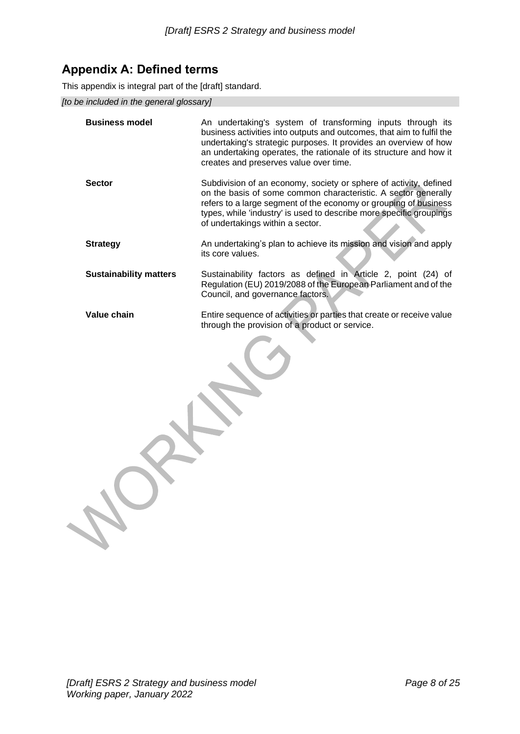## <span id="page-7-0"></span>**Appendix A: Defined terms**

This appendix is integral part of the [draft] standard.

*[to be included in the general glossary]*

| <b>Business model</b>         | An undertaking's system of transforming inputs through its<br>business activities into outputs and outcomes, that aim to fulfil the<br>undertaking's strategic purposes. It provides an overview of how<br>an undertaking operates, the rationale of its structure and how it<br>creates and preserves value over time. |
|-------------------------------|-------------------------------------------------------------------------------------------------------------------------------------------------------------------------------------------------------------------------------------------------------------------------------------------------------------------------|
| <b>Sector</b>                 | Subdivision of an economy, society or sphere of activity, defined<br>on the basis of some common characteristic. A sector generally<br>refers to a large segment of the economy or grouping of business<br>types, while 'industry' is used to describe more specific groupings<br>of undertakings within a sector.      |
| <b>Strategy</b>               | An undertaking's plan to achieve its mission and vision and apply<br>its core values.                                                                                                                                                                                                                                   |
| <b>Sustainability matters</b> | Sustainability factors as defined in Article 2, point (24) of<br>Regulation (EU) 2019/2088 of the European Parliament and of the<br>Council, and governance factors.                                                                                                                                                    |
| Value chain                   | Entire sequence of activities or parties that create or receive value<br>through the provision of a product or service.                                                                                                                                                                                                 |
|                               |                                                                                                                                                                                                                                                                                                                         |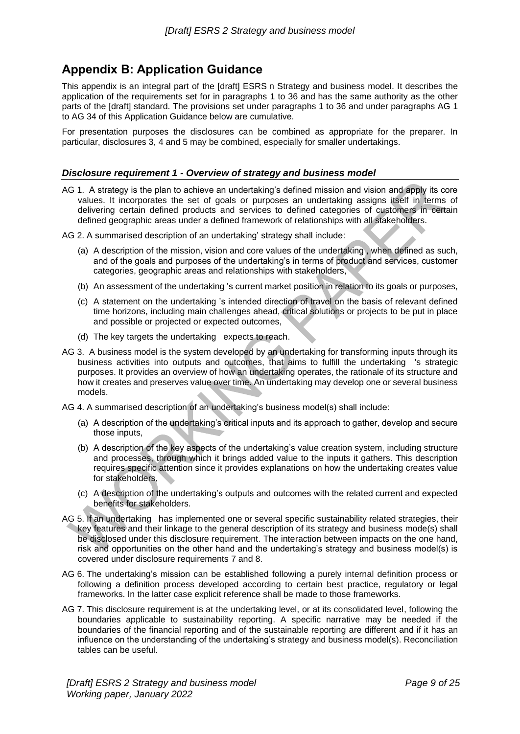## <span id="page-8-0"></span>**Appendix B: Application Guidance**

This appendix is an integral part of the [draft] ESRS n Strategy and business model. It describes the application of the requirements set for in paragraphs 1 to 36 and has the same authority as the other parts of the [draft] standard. The provisions set under paragraphs 1 to 36 and under paragraphs AG 1 to AG 34 of this Application Guidance below are cumulative.

For presentation purposes the disclosures can be combined as appropriate for the preparer. In particular, disclosures 3, 4 and 5 may be combined, especially for smaller undertakings.

## <span id="page-8-1"></span>*Disclosure requirement 1 - Overview of strategy and business model*

- AG 1. A strategy is the plan to achieve an undertaking's defined mission and vision and apply its core values. It incorporates the set of goals or purposes an undertaking assigns itself in terms of delivering certain defined products and services to defined categories of customers in certain defined geographic areas under a defined framework of relationships with all stakeholders.
- AG 2. A summarised description of an undertaking' strategy shall include:
	- (a) A description of the mission, vision and core values of the undertaking , when defined as such, and of the goals and purposes of the undertaking's in terms of product and services, customer categories, geographic areas and relationships with stakeholders,
	- (b) An assessment of the undertaking 's current market position in relation to its goals or purposes,
	- (c) A statement on the undertaking 's intended direction of travel on the basis of relevant defined time horizons, including main challenges ahead, critical solutions or projects to be put in place and possible or projected or expected outcomes,
	- (d) The key targets the undertaking expects to reach.
- AG 3. A business model is the system developed by an undertaking for transforming inputs through its business activities into outputs and outcomes, that aims to fulfill the undertaking 's strategic purposes. It provides an overview of how an undertaking operates, the rationale of its structure and how it creates and preserves value over time. An undertaking may develop one or several business models.
- AG 4. A summarised description of an undertaking's business model(s) shall include:
	- (a) A description of the undertaking's critical inputs and its approach to gather, develop and secure those inputs,
	- (b) A description of the key aspects of the undertaking's value creation system, including structure and processes, through which it brings added value to the inputs it gathers. This description requires specific attention since it provides explanations on how the undertaking creates value for stakeholders,
	- (c) A description of the undertaking's outputs and outcomes with the related current and expected benefits for stakeholders.
- AG 5. If an undertaking has implemented one or several specific sustainability related strategies, their key features and their linkage to the general description of its strategy and business mode(s) shall be disclosed under this disclosure requirement. The interaction between impacts on the one hand, risk and opportunities on the other hand and the undertaking's strategy and business model(s) is covered under disclosure requirements 7 and 8.
- AG 6. The undertaking's mission can be established following a purely internal definition process or following a definition process developed according to certain best practice, regulatory or legal frameworks. In the latter case explicit reference shall be made to those frameworks.
- AG 7. This disclosure requirement is at the undertaking level, or at its consolidated level, following the boundaries applicable to sustainability reporting. A specific narrative may be needed if the boundaries of the financial reporting and of the sustainable reporting are different and if it has an influence on the understanding of the undertaking's strategy and business model(s). Reconciliation tables can be useful.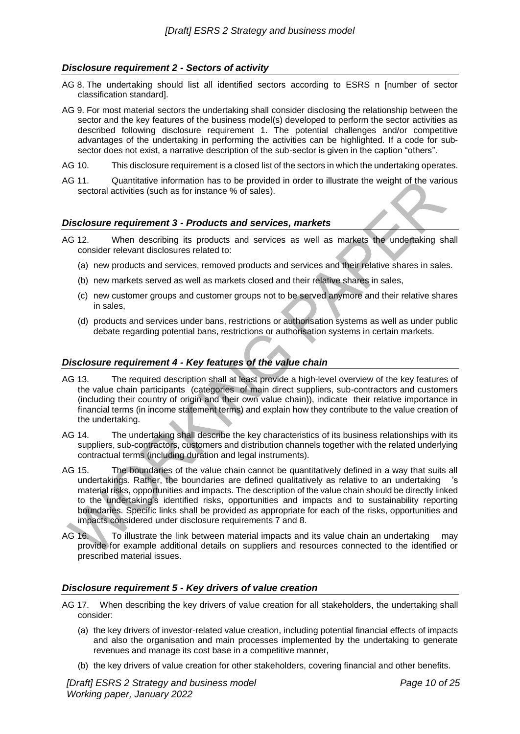## <span id="page-9-0"></span>*Disclosure requirement 2 - Sectors of activity*

- AG 8. The undertaking should list all identified sectors according to ESRS n [number of sector classification standard].
- AG 9. For most material sectors the undertaking shall consider disclosing the relationship between the sector and the key features of the business model(s) developed to perform the sector activities as described following disclosure requirement 1. The potential challenges and/or competitive advantages of the undertaking in performing the activities can be highlighted. If a code for subsector does not exist, a narrative description of the sub-sector is given in the caption "others".
- AG 10. This disclosure requirement is a closed list of the sectors in which the undertaking operates.
- AG 11. Quantitative information has to be provided in order to illustrate the weight of the various sectoral activities (such as for instance % of sales).

#### <span id="page-9-1"></span>*Disclosure requirement 3 - Products and services, markets*

- AG 12. When describing its products and services as well as markets the undertaking shall consider relevant disclosures related to:
	- (a) new products and services, removed products and services and their relative shares in sales.
	- (b) new markets served as well as markets closed and their relative shares in sales,
	- (c) new customer groups and customer groups not to be served anymore and their relative shares in sales,
	- (d) products and services under bans, restrictions or authorisation systems as well as under public debate regarding potential bans, restrictions or authorisation systems in certain markets.

#### <span id="page-9-2"></span>*Disclosure requirement 4 - Key features of the value chain*

- AG 13. The required description shall at least provide a high-level overview of the key features of the value chain participants (categories of main direct suppliers, sub-contractors and customers (including their country of origin and their own value chain)), indicate their relative importance in financial terms (in income statement terms) and explain how they contribute to the value creation of the undertaking.
- AG 14. The undertaking shall describe the key characteristics of its business relationships with its suppliers, sub-contractors, customers and distribution channels together with the related underlying contractual terms (including duration and legal instruments).
- AG 15. The boundaries of the value chain cannot be quantitatively defined in a way that suits all undertakings. Rather, the boundaries are defined qualitatively as relative to an undertaking 's material risks, opportunities and impacts. The description of the value chain should be directly linked to the undertaking's identified risks, opportunities and impacts and to sustainability reporting boundaries. Specific links shall be provided as appropriate for each of the risks, opportunities and impacts considered under disclosure requirements 7 and 8.
- AG 16. To illustrate the link between material impacts and its value chain an undertaking may provide for example additional details on suppliers and resources connected to the identified or prescribed material issues.

## <span id="page-9-3"></span>*Disclosure requirement 5 - Key drivers of value creation*

- AG 17. When describing the key drivers of value creation for all stakeholders, the undertaking shall consider:
	- (a) the key drivers of investor-related value creation, including potential financial effects of impacts and also the organisation and main processes implemented by the undertaking to generate revenues and manage its cost base in a competitive manner,
	- (b) the key drivers of value creation for other stakeholders, covering financial and other benefits.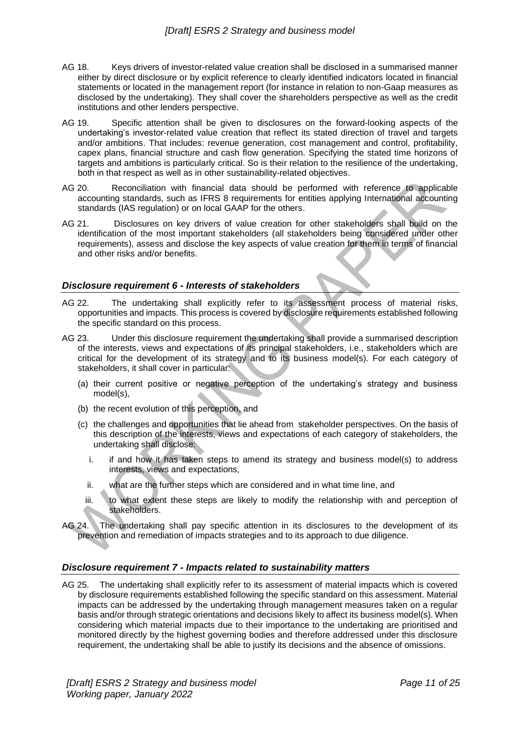- AG 18. Keys drivers of investor-related value creation shall be disclosed in a summarised manner either by direct disclosure or by explicit reference to clearly identified indicators located in financial statements or located in the management report (for instance in relation to non-Gaap measures as disclosed by the undertaking). They shall cover the shareholders perspective as well as the credit institutions and other lenders perspective.
- AG 19. Specific attention shall be given to disclosures on the forward-looking aspects of the undertaking's investor-related value creation that reflect its stated direction of travel and targets and/or ambitions. That includes: revenue generation, cost management and control, profitability, capex plans, financial structure and cash flow generation. Specifying the stated time horizons of targets and ambitions is particularly critical. So is their relation to the resilience of the undertaking, both in that respect as well as in other sustainability-related objectives.
- AG 20. Reconciliation with financial data should be performed with reference to applicable accounting standards, such as IFRS 8 requirements for entities applying International accounting standards (IAS regulation) or on local GAAP for the others.
- AG 21. Disclosures on key drivers of value creation for other stakeholders shall build on the identification of the most important stakeholders (all stakeholders being considered under other requirements), assess and disclose the key aspects of value creation for them in terms of financial and other risks and/or benefits.

#### <span id="page-10-0"></span>*Disclosure requirement 6 - Interests of stakeholders*

- AG 22. The undertaking shall explicitly refer to its assessment process of material risks, opportunities and impacts. This process is covered by disclosure requirements established following the specific standard on this process.
- AG 23. Under this disclosure requirement the undertaking shall provide a summarised description of the interests, views and expectations of its principal stakeholders, i.e., stakeholders which are critical for the development of its strategy and to its business model(s). For each category of stakeholders, it shall cover in particular:
	- (a) their current positive or negative perception of the undertaking's strategy and business model(s),
	- (b) the recent evolution of this perception, and
	- (c) the challenges and opportunities that lie ahead from stakeholder perspectives. On the basis of this description of the interests, views and expectations of each category of stakeholders, the undertaking shall disclose:
		- i. if and how it has taken steps to amend its strategy and business model(s) to address interests, views and expectations,
		- ii. what are the further steps which are considered and in what time line, and
		- iii. to what extent these steps are likely to modify the relationship with and perception of stakeholders.
- AG 24. The undertaking shall pay specific attention in its disclosures to the development of its prevention and remediation of impacts strategies and to its approach to due diligence.

## <span id="page-10-1"></span>*Disclosure requirement 7 - Impacts related to sustainability matters*

AG 25. The undertaking shall explicitly refer to its assessment of material impacts which is covered by disclosure requirements established following the specific standard on this assessment. Material impacts can be addressed by the undertaking through management measures taken on a regular basis and/or through strategic orientations and decisions likely to affect its business model(s). When considering which material impacts due to their importance to the undertaking are prioritised and monitored directly by the highest governing bodies and therefore addressed under this disclosure requirement, the undertaking shall be able to justify its decisions and the absence of omissions.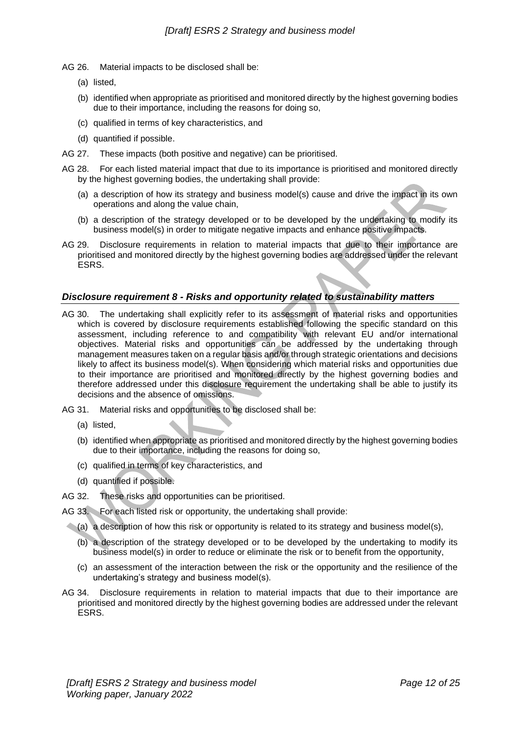- AG 26. Material impacts to be disclosed shall be:
	- (a) listed,
	- (b) identified when appropriate as prioritised and monitored directly by the highest governing bodies due to their importance, including the reasons for doing so,
	- (c) qualified in terms of key characteristics, and
	- (d) quantified if possible.
- AG 27. These impacts (both positive and negative) can be prioritised.
- AG 28. For each listed material impact that due to its importance is prioritised and monitored directly by the highest governing bodies, the undertaking shall provide:
	- (a) a description of how its strategy and business model(s) cause and drive the impact in its own operations and along the value chain,
	- (b) a description of the strategy developed or to be developed by the undertaking to modify its business model(s) in order to mitigate negative impacts and enhance positive impacts.
- AG 29. Disclosure requirements in relation to material impacts that due to their importance are prioritised and monitored directly by the highest governing bodies are addressed under the relevant ESRS.

## <span id="page-11-0"></span>*Disclosure requirement 8 - Risks and opportunity related to sustainability matters*

- AG 30. The undertaking shall explicitly refer to its assessment of material risks and opportunities which is covered by disclosure requirements established following the specific standard on this assessment, including reference to and compatibility with relevant EU and/or international objectives. Material risks and opportunities can be addressed by the undertaking through management measures taken on a regular basis and/or through strategic orientations and decisions likely to affect its business model(s). When considering which material risks and opportunities due to their importance are prioritised and monitored directly by the highest governing bodies and therefore addressed under this disclosure requirement the undertaking shall be able to justify its decisions and the absence of omissions.
- AG 31. Material risks and opportunities to be disclosed shall be:
	- (a) listed,
	- (b) identified when appropriate as prioritised and monitored directly by the highest governing bodies due to their importance, including the reasons for doing so,
	- (c) qualified in terms of key characteristics, and
	- (d) quantified if possible.
- AG 32. These risks and opportunities can be prioritised.
- AG 33. For each listed risk or opportunity, the undertaking shall provide:
	- (a) a description of how this risk or opportunity is related to its strategy and business model(s),
		- (b) a description of the strategy developed or to be developed by the undertaking to modify its business model(s) in order to reduce or eliminate the risk or to benefit from the opportunity,
		- (c) an assessment of the interaction between the risk or the opportunity and the resilience of the undertaking's strategy and business model(s).
- AG 34. Disclosure requirements in relation to material impacts that due to their importance are prioritised and monitored directly by the highest governing bodies are addressed under the relevant ESRS.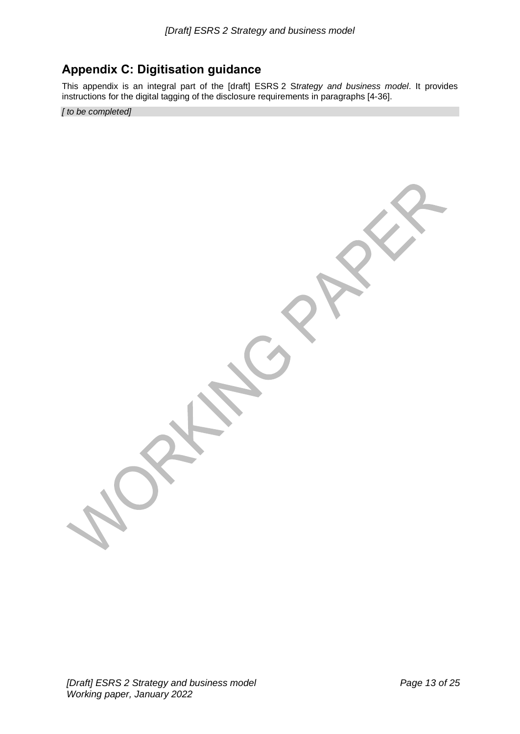## <span id="page-12-0"></span>**Appendix C: Digitisation guidance**

This appendix is an integral part of the [draft] ESRS 2 S*trategy and business model*. It provides instructions for the digital tagging of the disclosure requirements in paragraphs [4-36].

*[ to be completed]*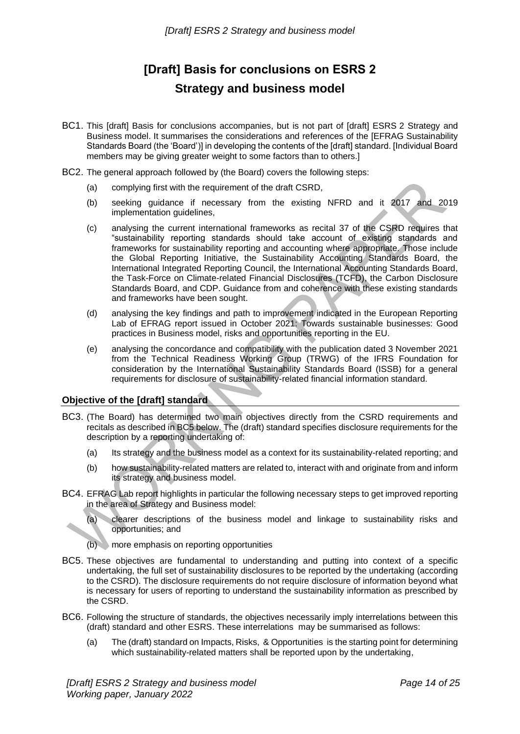# **[Draft] Basis for conclusions on ESRS 2 Strategy and business model**

- <span id="page-13-0"></span>BC1. This [draft] Basis for conclusions accompanies, but is not part of [draft] ESRS 2 Strategy and Business model. It summarises the considerations and references of the [EFRAG Sustainability Standards Board (the 'Board')] in developing the contents of the [draft] standard. [Individual Board members may be giving greater weight to some factors than to others.]
- BC2. The general approach followed by (the Board) covers the following steps:
	- (a) complying first with the requirement of the draft CSRD,
	- (b) seeking guidance if necessary from the existing NFRD and it 2017 and 2019 implementation guidelines,
	- (c) analysing the current international frameworks as recital 37 of the CSRD requires that "sustainability reporting standards should take account of existing standards and frameworks for sustainability reporting and accounting where appropriate. Those include the Global Reporting Initiative, the Sustainability Accounting Standards Board, the International Integrated Reporting Council, the International Accounting Standards Board, the Task-Force on Climate-related Financial Disclosures (TCFD), the Carbon Disclosure Standards Board, and CDP. Guidance from and coherence with these existing standards and frameworks have been sought.
	- (d) analysing the key findings and path to improvement indicated in the European Reporting Lab of EFRAG report issued in October 2021: Towards sustainable businesses: Good practices in Business model, risks and opportunities reporting in the EU.
	- (e) analysing the concordance and compatibility with the publication dated 3 November 2021 from the Technical Readiness Working Group (TRWG) of the IFRS Foundation for consideration by the International Sustainability Standards Board (ISSB) for a general requirements for disclosure of sustainability-related financial information standard.

## <span id="page-13-1"></span>**Objective of the [draft] standard**

- BC3. (The Board) has determined two main objectives directly from the CSRD requirements and recitals as described in BC5 below. The (draft) standard specifies disclosure requirements for the description by a reporting undertaking of:
	- (a) Its strategy and the business model as a context for its sustainability-related reporting; and
	- (b) how sustainability-related matters are related to, interact with and originate from and inform its strategy and business model.
- BC4. EFRAG Lab report highlights in particular the following necessary steps to get improved reporting in the area of Strategy and Business model:

(a) clearer descriptions of the business model and linkage to sustainability risks and opportunities; and

- (b) more emphasis on reporting opportunities
- BC5. These objectives are fundamental to understanding and putting into context of a specific undertaking, the full set of sustainability disclosures to be reported by the undertaking (according to the CSRD). The disclosure requirements do not require disclosure of information beyond what is necessary for users of reporting to understand the sustainability information as prescribed by the CSRD.
- BC6. Following the structure of standards, the objectives necessarily imply interrelations between this (draft) standard and other ESRS. These interrelations may be summarised as follows:
	- (a) The (draft) standard on Impacts, Risks, & Opportunities is the starting point for determining which sustainability-related matters shall be reported upon by the undertaking,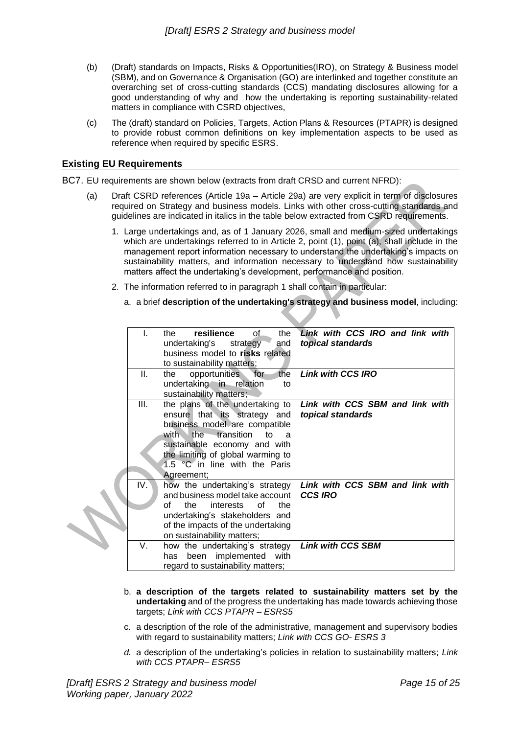- (b) (Draft) standards on Impacts, Risks & Opportunities(IRO), on Strategy & Business model (SBM), and on Governance & Organisation (GO) are interlinked and together constitute an overarching set of cross-cutting standards (CCS) mandating disclosures allowing for a good understanding of why and how the undertaking is reporting sustainability-related matters in compliance with CSRD objectives,
- (c) The (draft) standard on Policies, Targets, Action Plans & Resources (PTAPR) is designed to provide robust common definitions on key implementation aspects to be used as reference when required by specific ESRS.

## <span id="page-14-0"></span>**Existing EU Requirements**

٠

BC7. EU requirements are shown below (extracts from draft CRSD and current NFRD):

- (a) Draft CSRD references (Article 19a Article 29a) are very explicit in term of disclosures required on Strategy and business models. Links with other cross-cutting standards and guidelines are indicated in italics in the table below extracted from CSRD requirements.
	- 1. Large undertakings and, as of 1 January 2026, small and medium-sized undertakings which are undertakings referred to in Article 2, point (1), point (a), shall include in the management report information necessary to understand the undertaking's impacts on sustainability matters, and information necessary to understand how sustainability matters affect the undertaking's development, performance and position.
	- 2. The information referred to in paragraph 1 shall contain in particular:
		- a. a brief **description of the undertaking's strategy and business model**, including:

| L.        | resilience<br>of.<br>the<br>the.<br>undertaking's strategy<br>and<br>business model to risks related<br>to sustainability matters;                                                                                                                     | Link with CCS IRO and link with<br>topical standards                          |
|-----------|--------------------------------------------------------------------------------------------------------------------------------------------------------------------------------------------------------------------------------------------------------|-------------------------------------------------------------------------------|
| Ш.        | the<br>for<br>opportunities<br>the<br>undertaking in relation<br>to<br>sustainability matters;                                                                                                                                                         | <b>Link with CCS IRO</b>                                                      |
| III.      | the plans of the undertaking to<br>ensure that its strategy and<br>business model are compatible<br>with the transition<br>to<br>a<br>sustainable economy and with<br>the limiting of global warming to<br>1.5 °C in line with the Paris<br>Agreement; | Link with CCS SBM and link with<br>topical standards                          |
| IV.<br>V. | how the undertaking's strategy<br>and business model take account<br>∩f<br>the<br>the<br>interests<br>of<br>undertaking's stakeholders and<br>of the impacts of the undertaking<br>on sustainability matters;<br>how the undertaking's strategy        | Link with CCS SBM and link with<br><b>CCS IRO</b><br><b>Link with CCS SBM</b> |
|           | been implemented with<br>has<br>regard to sustainability matters;                                                                                                                                                                                      |                                                                               |

- b. **a description of the targets related to sustainability matters set by the undertaking** and of the progress the undertaking has made towards achieving those targets; *Link with CCS PTAPR – ESRS5*
- c. a description of the role of the administrative, management and supervisory bodies with regard to sustainability matters; *Link with CCS GO- ESRS 3*
- *d.* a description of the undertaking's policies in relation to sustainability matters; *Link with CCS PTAPR– ESRS5*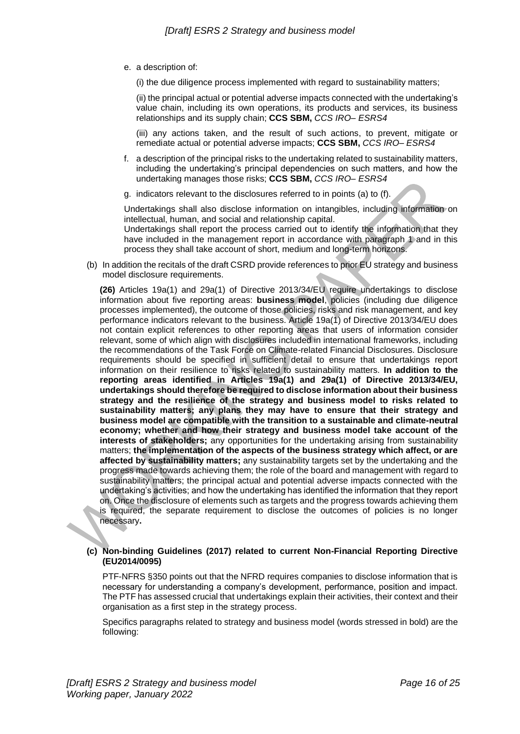- e. a description of:
	- (i) the due diligence process implemented with regard to sustainability matters;

(ii) the principal actual or potential adverse impacts connected with the undertaking's value chain, including its own operations, its products and services, its business relationships and its supply chain; **CCS SBM,** *CCS IRO– ESRS4*

(iii) any actions taken, and the result of such actions, to prevent, mitigate or remediate actual or potential adverse impacts; **CCS SBM,** *CCS IRO– ESRS4*

- f. a description of the principal risks to the undertaking related to sustainability matters, including the undertaking's principal dependencies on such matters, and how the undertaking manages those risks; **CCS SBM,** *CCS IRO– ESRS4*
- g. indicators relevant to the disclosures referred to in points (a) to (f).

Undertakings shall also disclose information on intangibles, including information on intellectual, human, and social and relationship capital.

Undertakings shall report the process carried out to identify the information that they have included in the management report in accordance with paragraph 1 and in this process they shall take account of short, medium and long-term horizons.

(b) In addition the recitals of the draft CSRD provide references to prior EU strategy and business model disclosure requirements.

**(26)** Articles 19a(1) and 29a(1) of Directive 2013/34/EU require undertakings to disclose information about five reporting areas: **business model**, policies (including due diligence processes implemented), the outcome of those policies, risks and risk management, and key performance indicators relevant to the business. Article 19a(1) of Directive 2013/34/EU does not contain explicit references to other reporting areas that users of information consider relevant, some of which align with disclosures included in international frameworks, including the recommendations of the Task Force on Climate-related Financial Disclosures. Disclosure requirements should be specified in sufficient detail to ensure that undertakings report information on their resilience to risks related to sustainability matters. **In addition to the reporting areas identified in Articles 19a(1) and 29a(1) of Directive 2013/34/EU, undertakings should therefore be required to disclose information about their business strategy and the resilience of the strategy and business model to risks related to sustainability matters; any plans they may have to ensure that their strategy and business model are compatible with the transition to a sustainable and climate-neutral economy; whether and how their strategy and business model take account of the interests of stakeholders;** any opportunities for the undertaking arising from sustainability matters; **the implementation of the aspects of the business strategy which affect, or are affected by sustainability matters;** any sustainability targets set by the undertaking and the progress made towards achieving them; the role of the board and management with regard to sustainability matters; the principal actual and potential adverse impacts connected with the undertaking's activities; and how the undertaking has identified the information that they report on. Once the disclosure of elements such as targets and the progress towards achieving them is required, the separate requirement to disclose the outcomes of policies is no longer necessary**.**

#### **(c) Non-binding Guidelines (2017) related to current Non-Financial Reporting Directive (EU2014/0095)**

PTF-NFRS §350 points out that the NFRD requires companies to disclose information that is necessary for understanding a company's development, performance, position and impact. The PTF has assessed crucial that undertakings explain their activities, their context and their organisation as a first step in the strategy process.

Specifics paragraphs related to strategy and business model (words stressed in bold) are the following: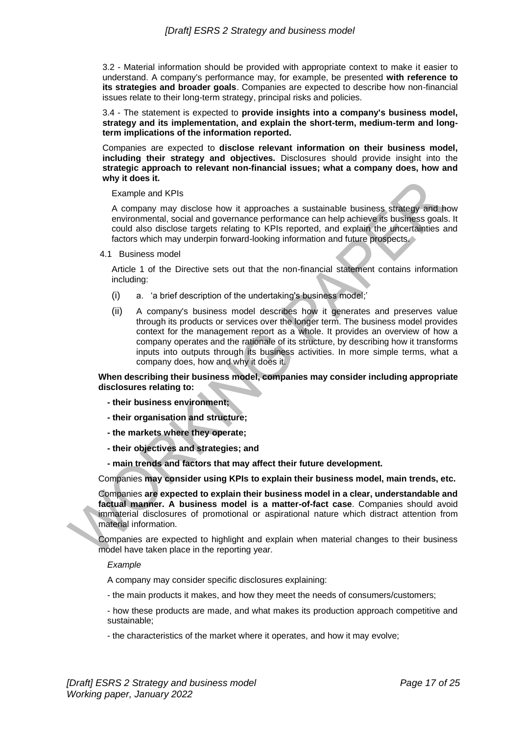3.2 - Material information should be provided with appropriate context to make it easier to understand. A company's performance may, for example, be presented **with reference to its strategies and broader goals**. Companies are expected to describe how non-financial issues relate to their long-term strategy, principal risks and policies.

3.4 - The statement is expected to **provide insights into a company's business model, strategy and its implementation, and explain the short-term, medium-term and longterm implications of the information reported.**

Companies are expected to **disclose relevant information on their business model, including their strategy and objectives.** Disclosures should provide insight into the **strategic approach to relevant non-financial issues; what a company does, how and why it does it.**

Example and KPIs

A company may disclose how it approaches a sustainable business strategy and how environmental, social and governance performance can help achieve its business goals. It could also disclose targets relating to KPIs reported, and explain the uncertainties and factors which may underpin forward-looking information and future prospects.

4.1 Business model

Article 1 of the Directive sets out that the non-financial statement contains information including:

- (i) a. 'a brief description of the undertaking's business model;'
- (ii) A company's business model describes how it generates and preserves value through its products or services over the longer term. The business model provides context for the management report as a whole. It provides an overview of how a company operates and the rationale of its structure, by describing how it transforms inputs into outputs through its business activities. In more simple terms, what a company does, how and why it does it.

**When describing their business model, companies may consider including appropriate disclosures relating to:**

- **- their business environment;**
- **- their organisation and structure;**
- **- the markets where they operate;**
- **- their objectives and strategies; and**
- **- main trends and factors that may affect their future development.**

Companies **may consider using KPIs to explain their business model, main trends, etc.**

Companies **are expected to explain their business model in a clear, understandable and factual manner. A business model is a matter-of-fact case**. Companies should avoid immaterial disclosures of promotional or aspirational nature which distract attention from material information.

Companies are expected to highlight and explain when material changes to their business model have taken place in the reporting year.

*Example*

A company may consider specific disclosures explaining:

- the main products it makes, and how they meet the needs of consumers/customers;
- how these products are made, and what makes its production approach competitive and sustainable;
- the characteristics of the market where it operates, and how it may evolve;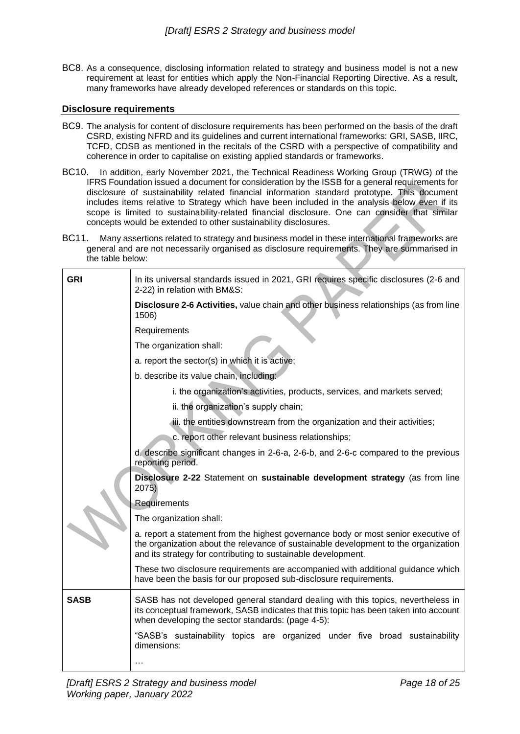BC8. As a consequence, disclosing information related to strategy and business model is not a new requirement at least for entities which apply the Non-Financial Reporting Directive. As a result, many frameworks have already developed references or standards on this topic.

## <span id="page-17-0"></span>**Disclosure requirements**

- BC9. The analysis for content of disclosure requirements has been performed on the basis of the draft CSRD, existing NFRD and its guidelines and current international frameworks: GRI, SASB, IIRC, TCFD, CDSB as mentioned in the recitals of the CSRD with a perspective of compatibility and coherence in order to capitalise on existing applied standards or frameworks.
- BC10. In addition, early November 2021, the Technical Readiness Working Group (TRWG) of the IFRS Foundation issued a document for consideration by the ISSB for a general requirements for disclosure of sustainability related financial information standard prototype. This document includes items relative to Strategy which have been included in the analysis below even if its scope is limited to sustainability-related financial disclosure. One can consider that similar concepts would be extended to other sustainability disclosures.
- BC11. Many assertions related to strategy and business model in these international frameworks are general and are not necessarily organised as disclosure requirements. They are summarised in the table below:

| <b>GRI</b>  | In its universal standards issued in 2021, GRI requires specific disclosures (2-6 and<br>2-22) in relation with BM&S:                                                                                                                      |  |  |
|-------------|--------------------------------------------------------------------------------------------------------------------------------------------------------------------------------------------------------------------------------------------|--|--|
|             | Disclosure 2-6 Activities, value chain and other business relationships (as from line<br>1506)                                                                                                                                             |  |  |
|             | Requirements                                                                                                                                                                                                                               |  |  |
|             | The organization shall:                                                                                                                                                                                                                    |  |  |
|             | a. report the sector(s) in which it is active;                                                                                                                                                                                             |  |  |
|             | b. describe its value chain, including:                                                                                                                                                                                                    |  |  |
|             | i. the organization's activities, products, services, and markets served;                                                                                                                                                                  |  |  |
|             | ii. the organization's supply chain;                                                                                                                                                                                                       |  |  |
|             | iii. the entities downstream from the organization and their activities;                                                                                                                                                                   |  |  |
|             | c. report other relevant business relationships;                                                                                                                                                                                           |  |  |
|             | d. describe significant changes in 2-6-a, 2-6-b, and 2-6-c compared to the previous<br>reporting period.                                                                                                                                   |  |  |
|             | Disclosure 2-22 Statement on sustainable development strategy (as from line<br>2075                                                                                                                                                        |  |  |
|             | Requirements                                                                                                                                                                                                                               |  |  |
|             | The organization shall:                                                                                                                                                                                                                    |  |  |
|             | a. report a statement from the highest governance body or most senior executive of<br>the organization about the relevance of sustainable development to the organization<br>and its strategy for contributing to sustainable development. |  |  |
|             | These two disclosure requirements are accompanied with additional guidance which<br>have been the basis for our proposed sub-disclosure requirements.                                                                                      |  |  |
| <b>SASB</b> | SASB has not developed general standard dealing with this topics, nevertheless in<br>its conceptual framework, SASB indicates that this topic has been taken into account<br>when developing the sector standards: (page 4-5):             |  |  |
|             | "SASB's sustainability topics are organized under five broad sustainability<br>dimensions:                                                                                                                                                 |  |  |
|             | .                                                                                                                                                                                                                                          |  |  |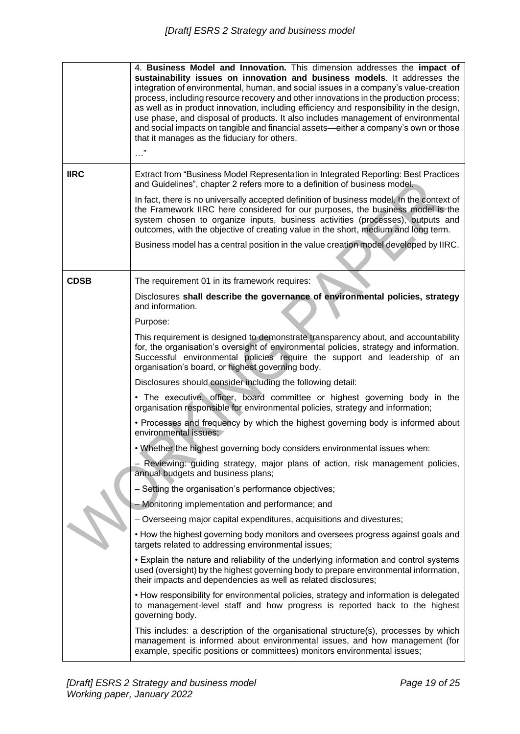|             | 4. Business Model and Innovation. This dimension addresses the impact of<br>sustainability issues on innovation and business models. It addresses the<br>integration of environmental, human, and social issues in a company's value-creation<br>process, including resource recovery and other innovations in the production process;<br>as well as in product innovation, including efficiency and responsibility in the design,<br>use phase, and disposal of products. It also includes management of environmental<br>and social impacts on tangible and financial assets—either a company's own or those<br>that it manages as the fiduciary for others. |  |  |
|-------------|----------------------------------------------------------------------------------------------------------------------------------------------------------------------------------------------------------------------------------------------------------------------------------------------------------------------------------------------------------------------------------------------------------------------------------------------------------------------------------------------------------------------------------------------------------------------------------------------------------------------------------------------------------------|--|--|
| <b>IIRC</b> | Extract from "Business Model Representation in Integrated Reporting: Best Practices<br>and Guidelines", chapter 2 refers more to a definition of business model.                                                                                                                                                                                                                                                                                                                                                                                                                                                                                               |  |  |
|             | In fact, there is no universally accepted definition of business model. In the context of<br>the Framework IIRC here considered for our purposes, the business model is the<br>system chosen to organize inputs, business activities (processes), outputs and<br>outcomes, with the objective of creating value in the short, medium and long term.                                                                                                                                                                                                                                                                                                            |  |  |
|             | Business model has a central position in the value creation model developed by IIRC.                                                                                                                                                                                                                                                                                                                                                                                                                                                                                                                                                                           |  |  |
| <b>CDSB</b> | The requirement 01 in its framework requires:                                                                                                                                                                                                                                                                                                                                                                                                                                                                                                                                                                                                                  |  |  |
|             | Disclosures shall describe the governance of environmental policies, strategy<br>and information.                                                                                                                                                                                                                                                                                                                                                                                                                                                                                                                                                              |  |  |
|             | Purpose:                                                                                                                                                                                                                                                                                                                                                                                                                                                                                                                                                                                                                                                       |  |  |
|             | This requirement is designed to demonstrate transparency about, and accountability<br>for, the organisation's oversight of environmental policies, strategy and information.<br>Successful environmental policies require the support and leadership of an<br>organisation's board, or highest governing body.                                                                                                                                                                                                                                                                                                                                                 |  |  |
|             | Disclosures should consider including the following detail:                                                                                                                                                                                                                                                                                                                                                                                                                                                                                                                                                                                                    |  |  |
|             | • The executive, officer, board committee or highest governing body in the<br>organisation responsible for environmental policies, strategy and information;                                                                                                                                                                                                                                                                                                                                                                                                                                                                                                   |  |  |
|             | • Processes and frequency by which the highest governing body is informed about<br>environmental issues;                                                                                                                                                                                                                                                                                                                                                                                                                                                                                                                                                       |  |  |
|             | . Whether the highest governing body considers environmental issues when:                                                                                                                                                                                                                                                                                                                                                                                                                                                                                                                                                                                      |  |  |
|             | - Reviewing: guiding strategy, major plans of action, risk management policies,<br>annual budgets and business plans;                                                                                                                                                                                                                                                                                                                                                                                                                                                                                                                                          |  |  |
|             | - Setting the organisation's performance objectives;                                                                                                                                                                                                                                                                                                                                                                                                                                                                                                                                                                                                           |  |  |
|             | Monitoring implementation and performance; and                                                                                                                                                                                                                                                                                                                                                                                                                                                                                                                                                                                                                 |  |  |
|             | - Overseeing major capital expenditures, acquisitions and divestures;                                                                                                                                                                                                                                                                                                                                                                                                                                                                                                                                                                                          |  |  |
|             | • How the highest governing body monitors and oversees progress against goals and<br>targets related to addressing environmental issues;                                                                                                                                                                                                                                                                                                                                                                                                                                                                                                                       |  |  |
|             | • Explain the nature and reliability of the underlying information and control systems<br>used (oversight) by the highest governing body to prepare environmental information,<br>their impacts and dependencies as well as related disclosures;                                                                                                                                                                                                                                                                                                                                                                                                               |  |  |
|             | • How responsibility for environmental policies, strategy and information is delegated<br>to management-level staff and how progress is reported back to the highest<br>governing body.                                                                                                                                                                                                                                                                                                                                                                                                                                                                        |  |  |
|             | This includes: a description of the organisational structure(s), processes by which<br>management is informed about environmental issues, and how management (for<br>example, specific positions or committees) monitors environmental issues;                                                                                                                                                                                                                                                                                                                                                                                                                 |  |  |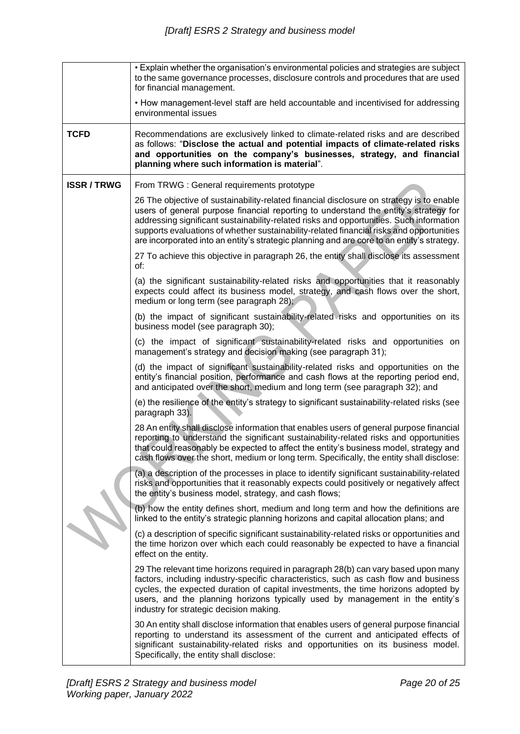|                  | • Explain whether the organisation's environmental policies and strategies are subject<br>to the same governance processes, disclosure controls and procedures that are used<br>for financial management.                                                                                                                                                                                                                                                             |
|------------------|-----------------------------------------------------------------------------------------------------------------------------------------------------------------------------------------------------------------------------------------------------------------------------------------------------------------------------------------------------------------------------------------------------------------------------------------------------------------------|
|                  | • How management-level staff are held accountable and incentivised for addressing<br>environmental issues                                                                                                                                                                                                                                                                                                                                                             |
| <b>TCFD</b>      | Recommendations are exclusively linked to climate-related risks and are described<br>as follows: "Disclose the actual and potential impacts of climate-related risks<br>and opportunities on the company's businesses, strategy, and financial<br>planning where such information is material".                                                                                                                                                                       |
| <b>ISSR/TRWG</b> | From TRWG : General requirements prototype                                                                                                                                                                                                                                                                                                                                                                                                                            |
|                  | 26 The objective of sustainability-related financial disclosure on strategy is to enable<br>users of general purpose financial reporting to understand the entity's strategy for<br>addressing significant sustainability-related risks and opportunities. Such information<br>supports evaluations of whether sustainability-related financial risks and opportunities<br>are incorporated into an entity's strategic planning and are core to an entity's strategy. |
|                  | 27 To achieve this objective in paragraph 26, the entity shall disclose its assessment<br>of:                                                                                                                                                                                                                                                                                                                                                                         |
|                  | (a) the significant sustainability-related risks and opportunities that it reasonably<br>expects could affect its business model, strategy, and cash flows over the short,<br>medium or long term (see paragraph 28);                                                                                                                                                                                                                                                 |
|                  | (b) the impact of significant sustainability-related risks and opportunities on its<br>business model (see paragraph 30);                                                                                                                                                                                                                                                                                                                                             |
|                  | (c) the impact of significant sustainability-related risks and opportunities on<br>management's strategy and decision making (see paragraph 31);                                                                                                                                                                                                                                                                                                                      |
|                  | (d) the impact of significant sustainability-related risks and opportunities on the<br>entity's financial position, performance and cash flows at the reporting period end,<br>and anticipated over the short, medium and long term (see paragraph 32); and                                                                                                                                                                                                           |
|                  | (e) the resilience of the entity's strategy to significant sustainability-related risks (see<br>paragraph 33).                                                                                                                                                                                                                                                                                                                                                        |
|                  | 28 An entity shall disclose information that enables users of general purpose financial<br>reporting to understand the significant sustainability-related risks and opportunities<br>that could reasonably be expected to affect the entity's business model, strategy and<br>cash flows over the short, medium or long term. Specifically, the entity shall disclose:                                                                                                |
|                  | (a) a description of the processes in place to identify significant sustainability-related<br>risks and opportunities that it reasonably expects could positively or negatively affect<br>the entity's business model, strategy, and cash flows;                                                                                                                                                                                                                      |
|                  | (b) how the entity defines short, medium and long term and how the definitions are<br>linked to the entity's strategic planning horizons and capital allocation plans; and                                                                                                                                                                                                                                                                                            |
|                  | (c) a description of specific significant sustainability-related risks or opportunities and<br>the time horizon over which each could reasonably be expected to have a financial<br>effect on the entity.                                                                                                                                                                                                                                                             |
|                  | 29 The relevant time horizons required in paragraph 28(b) can vary based upon many<br>factors, including industry-specific characteristics, such as cash flow and business<br>cycles, the expected duration of capital investments, the time horizons adopted by<br>users, and the planning horizons typically used by management in the entity's<br>industry for strategic decision making.                                                                          |
|                  | 30 An entity shall disclose information that enables users of general purpose financial<br>reporting to understand its assessment of the current and anticipated effects of<br>significant sustainability-related risks and opportunities on its business model.<br>Specifically, the entity shall disclose:                                                                                                                                                          |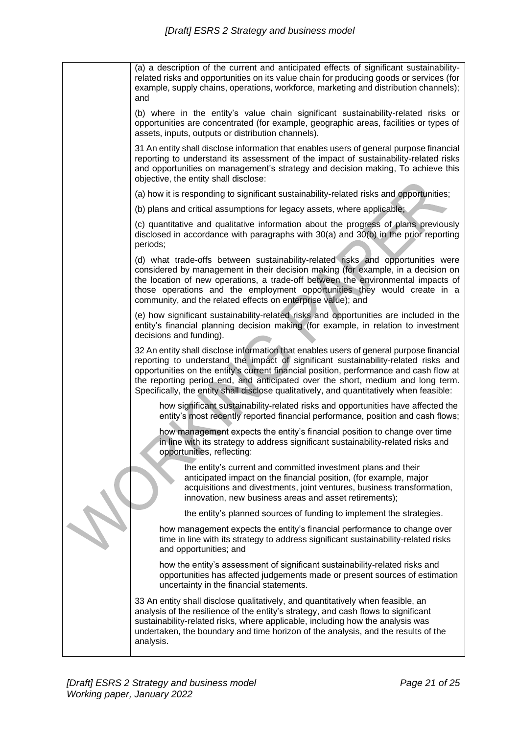| (a) a description of the current and anticipated effects of significant sustainability-<br>related risks and opportunities on its value chain for producing goods or services (for<br>example, supply chains, operations, workforce, marketing and distribution channels);<br>and                                                                                                                                                                      |
|--------------------------------------------------------------------------------------------------------------------------------------------------------------------------------------------------------------------------------------------------------------------------------------------------------------------------------------------------------------------------------------------------------------------------------------------------------|
| (b) where in the entity's value chain significant sustainability-related risks or<br>opportunities are concentrated (for example, geographic areas, facilities or types of<br>assets, inputs, outputs or distribution channels).                                                                                                                                                                                                                       |
| 31 An entity shall disclose information that enables users of general purpose financial<br>reporting to understand its assessment of the impact of sustainability-related risks<br>and opportunities on management's strategy and decision making, To achieve this<br>objective, the entity shall disclose:                                                                                                                                            |
| (a) how it is responding to significant sustainability-related risks and opportunities;                                                                                                                                                                                                                                                                                                                                                                |
| (b) plans and critical assumptions for legacy assets, where applicable;                                                                                                                                                                                                                                                                                                                                                                                |
| (c) quantitative and qualitative information about the progress of plans previously<br>disclosed in accordance with paragraphs with 30(a) and 30(b) in the prior reporting<br>periods;                                                                                                                                                                                                                                                                 |
| (d) what trade-offs between sustainability-related risks and opportunities were<br>considered by management in their decision making (for example, in a decision on<br>the location of new operations, a trade-off between the environmental impacts of<br>those operations and the employment opportunities they would create in a<br>community, and the related effects on enterprise value); and                                                    |
| (e) how significant sustainability-related risks and opportunities are included in the<br>entity's financial planning decision making (for example, in relation to investment<br>decisions and funding).                                                                                                                                                                                                                                               |
| 32 An entity shall disclose information that enables users of general purpose financial<br>reporting to understand the impact of significant sustainability-related risks and<br>opportunities on the entity's current financial position, performance and cash flow at<br>the reporting period end, and anticipated over the short, medium and long term.<br>Specifically, the entity shall disclose qualitatively, and quantitatively when feasible: |
| how significant sustainability-related risks and opportunities have affected the<br>entity's most recently reported financial performance, position and cash flows;                                                                                                                                                                                                                                                                                    |
| how management expects the entity's financial position to change over time<br>in line with its strategy to address significant sustainability-related risks and<br>opportunities, reflecting:                                                                                                                                                                                                                                                          |
| the entity's current and committed investment plans and their<br>anticipated impact on the financial position, (for example, major<br>acquisitions and divestments, joint ventures, business transformation,<br>innovation, new business areas and asset retirements);                                                                                                                                                                                 |
| the entity's planned sources of funding to implement the strategies.                                                                                                                                                                                                                                                                                                                                                                                   |
| how management expects the entity's financial performance to change over<br>time in line with its strategy to address significant sustainability-related risks<br>and opportunities; and                                                                                                                                                                                                                                                               |
| how the entity's assessment of significant sustainability-related risks and<br>opportunities has affected judgements made or present sources of estimation<br>uncertainty in the financial statements.                                                                                                                                                                                                                                                 |
| 33 An entity shall disclose qualitatively, and quantitatively when feasible, an<br>analysis of the resilience of the entity's strategy, and cash flows to significant<br>sustainability-related risks, where applicable, including how the analysis was<br>undertaken, the boundary and time horizon of the analysis, and the results of the<br>analysis.                                                                                              |
|                                                                                                                                                                                                                                                                                                                                                                                                                                                        |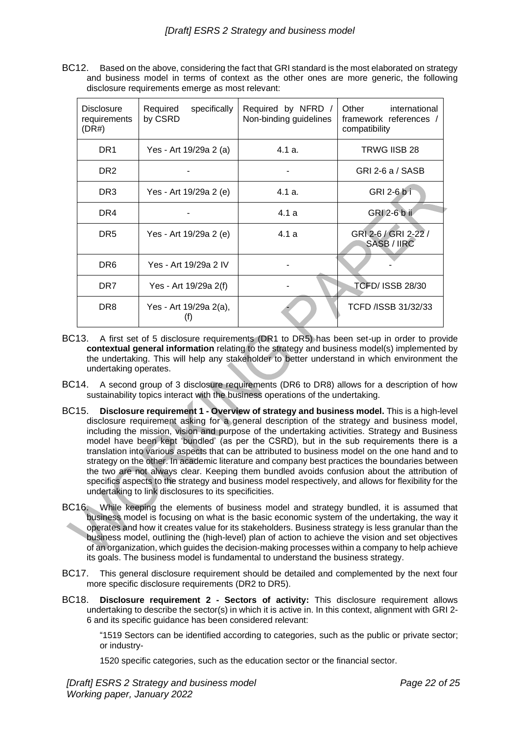BC12. Based on the above, considering the fact that GRI standard is the most elaborated on strategy and business model in terms of context as the other ones are more generic, the following disclosure requirements emerge as most relevant:

| <b>Disclosure</b><br>requirements<br>(DR#) | Required<br>specifically<br>by CSRD | Required by NFRD /<br>Non-binding guidelines | Other<br>international<br>framework references /<br>compatibility |
|--------------------------------------------|-------------------------------------|----------------------------------------------|-------------------------------------------------------------------|
| DR <sub>1</sub>                            | Yes - Art 19/29a 2 (a)              | 4.1 a.                                       | TRWG IISB 28                                                      |
| DR <sub>2</sub>                            |                                     |                                              | GRI 2-6 a / SASB                                                  |
| DR <sub>3</sub>                            | Yes - Art 19/29a 2 (e)              | 4.1 a.                                       | GRI 2-6 b i                                                       |
| DR4                                        |                                     | 4.1a                                         | GRI 2-6 b ii                                                      |
| DR <sub>5</sub>                            | Yes - Art 19/29a 2 (e)              | 4.1 a                                        | GRI 2-6 / GRI 2-22 /<br>SASB / IIRC                               |
| DR <sub>6</sub>                            | Yes - Art 19/29a 2 IV               |                                              |                                                                   |
| DR <sub>7</sub>                            | Yes - Art 19/29a 2(f)               |                                              | <b>TCFD/ ISSB 28/30</b>                                           |
| DR <sub>8</sub>                            | Yes - Art 19/29a 2(a),<br>$^{(1)}$  |                                              | TCFD /ISSB 31/32/33                                               |

- BC13. A first set of 5 disclosure requirements (DR1 to DR5) has been set-up in order to provide **contextual general information** relating to the strategy and business model(s) implemented by the undertaking. This will help any stakeholder to better understand in which environment the undertaking operates.
- BC14. A second group of 3 disclosure requirements (DR6 to DR8) allows for a description of how sustainability topics interact with the business operations of the undertaking.
- BC15. **Disclosure requirement 1 - Overview of strategy and business model.** This is a high-level disclosure requirement asking for a general description of the strategy and business model, including the mission, vision and purpose of the undertaking activities. Strategy and Business model have been kept 'bundled' (as per the CSRD), but in the sub requirements there is a translation into various aspects that can be attributed to business model on the one hand and to strategy on the other. In academic literature and company best practices the boundaries between the two are not always clear. Keeping them bundled avoids confusion about the attribution of specifics aspects to the strategy and business model respectively, and allows for flexibility for the undertaking to link disclosures to its specificities.
- BC16. While keeping the elements of business model and strategy bundled, it is assumed that business model is focusing on what is the basic economic system of the undertaking, the way it operates and how it creates value for its stakeholders. Business strategy is less granular than the business model, outlining the (high-level) plan of action to achieve the vision and set objectives of an organization, which guides the decision-making processes within a company to help achieve its goals. The business model is fundamental to understand the business strategy.
- BC17. This general disclosure requirement should be detailed and complemented by the next four more specific disclosure requirements (DR2 to DR5).
- BC18. **Disclosure requirement 2 - Sectors of activity:** This disclosure requirement allows undertaking to describe the sector(s) in which it is active in. In this context, alignment with GRI 2- 6 and its specific guidance has been considered relevant:

"1519 Sectors can be identified according to categories, such as the public or private sector; or industry-

1520 specific categories, such as the education sector or the financial sector.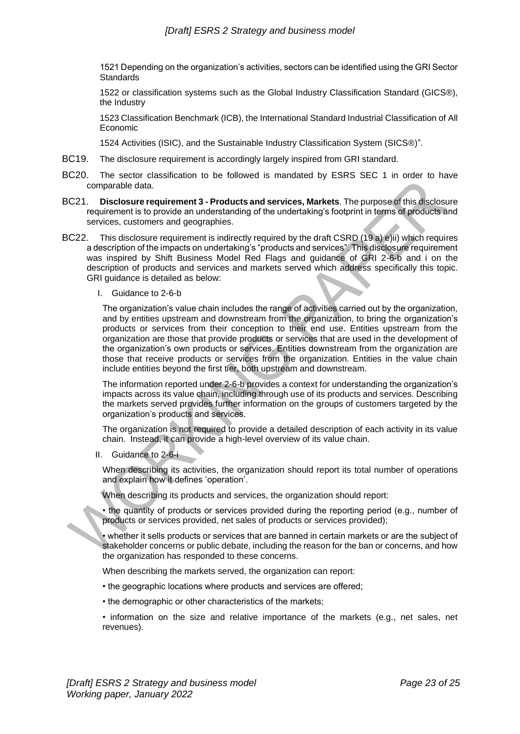1521 Depending on the organization's activities, sectors can be identified using the GRI Sector **Standards** 

1522 or classification systems such as the Global Industry Classification Standard (GICS®), the Industry

1523 Classification Benchmark (ICB), the International Standard Industrial Classification of All Economic

1524 Activities (ISIC), and the Sustainable Industry Classification System (SICS®)".

- BC19. The disclosure requirement is accordingly largely inspired from GRI standard.
- BC20. The sector classification to be followed is mandated by ESRS SEC 1 in order to have comparable data.
- BC21. **Disclosure requirement 3 - Products and services, Markets**. The purpose of this disclosure requirement is to provide an understanding of the undertaking's footprint in terms of products and services, customers and geographies.
- BC22. This disclosure requirement is indirectly required by the draft CSRD (19 a) e)ii) which requires a description of the impacts on undertaking's "products and services". This disclosure requirement was inspired by Shift Business Model Red Flags and guidance of GRI 2-6-b and i on the description of products and services and markets served which address specifically this topic. GRI guidance is detailed as below:
	- I. Guidance to 2-6-b

The organization's value chain includes the range of activities carried out by the organization, and by entities upstream and downstream from the organization, to bring the organization's products or services from their conception to their end use. Entities upstream from the organization are those that provide products or services that are used in the development of the organization's own products or services. Entities downstream from the organization are those that receive products or services from the organization. Entities in the value chain include entities beyond the first tier, both upstream and downstream.

The information reported under 2-6-b provides a context for understanding the organization's impacts across its value chain, including through use of its products and services. Describing the markets served provides further information on the groups of customers targeted by the organization's products and services.

The organization is not required to provide a detailed description of each activity in its value chain. Instead, it can provide a high-level overview of its value chain.

II. Guidance to 2-6-i

When describing its activities, the organization should report its total number of operations and explain how it defines 'operation'.

When describing its products and services, the organization should report:

• the quantity of products or services provided during the reporting period (e.g., number of products or services provided, net sales of products or services provided);

• whether it sells products or services that are banned in certain markets or are the subject of stakeholder concerns or public debate, including the reason for the ban or concerns, and how the organization has responded to these concerns.

When describing the markets served, the organization can report:

- the geographic locations where products and services are offered;
- the demographic or other characteristics of the markets;

• information on the size and relative importance of the markets (e.g., net sales, net revenues).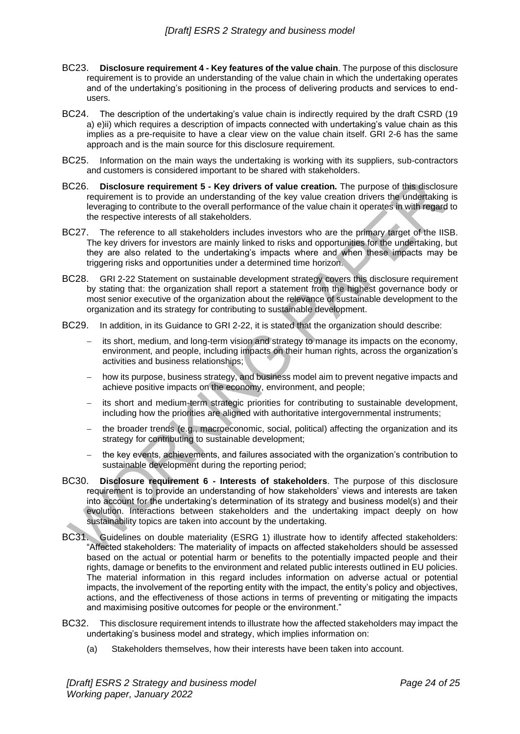- BC23. **Disclosure requirement 4 - Key features of the value chain**. The purpose of this disclosure requirement is to provide an understanding of the value chain in which the undertaking operates and of the undertaking's positioning in the process of delivering products and services to endusers.
- BC24. The description of the undertaking's value chain is indirectly required by the draft CSRD (19 a) e)ii) which requires a description of impacts connected with undertaking's value chain as this implies as a pre-requisite to have a clear view on the value chain itself. GRI 2-6 has the same approach and is the main source for this disclosure requirement.
- BC25. Information on the main ways the undertaking is working with its suppliers, sub-contractors and customers is considered important to be shared with stakeholders.
- BC26. **Disclosure requirement 5 - Key drivers of value creation.** The purpose of this disclosure requirement is to provide an understanding of the key value creation drivers the undertaking is leveraging to contribute to the overall performance of the value chain it operates in with regard to the respective interests of all stakeholders.
- BC27. The reference to all stakeholders includes investors who are the primary target of the IISB. The key drivers for investors are mainly linked to risks and opportunities for the undertaking, but they are also related to the undertaking's impacts where and when these impacts may be triggering risks and opportunities under a determined time horizon.
- BC28. GRI 2-22 Statement on sustainable development strategy covers this disclosure requirement by stating that: the organization shall report a statement from the highest governance body or most senior executive of the organization about the relevance of sustainable development to the organization and its strategy for contributing to sustainable development.
- BC29. In addition, in its Guidance to GRI 2-22, it is stated that the organization should describe:
	- its short, medium, and long-term vision and strategy to manage its impacts on the economy, environment, and people, including impacts on their human rights, across the organization's activities and business relationships;
	- how its purpose, business strategy, and business model aim to prevent negative impacts and achieve positive impacts on the economy, environment, and people;
	- its short and medium-term strategic priorities for contributing to sustainable development, including how the priorities are aligned with authoritative intergovernmental instruments;
	- the broader trends (e.g., macroeconomic, social, political) affecting the organization and its strategy for contributing to sustainable development;
	- the key events, achievements, and failures associated with the organization's contribution to sustainable development during the reporting period;
- BC30. **Disclosure requirement 6 - Interests of stakeholders**. The purpose of this disclosure requirement is to provide an understanding of how stakeholders' views and interests are taken into account for the undertaking's determination of its strategy and business model(s) and their evolution. Interactions between stakeholders and the undertaking impact deeply on how sustainability topics are taken into account by the undertaking.
- BC31. Guidelines on double materiality (ESRG 1) illustrate how to identify affected stakeholders: "Affected stakeholders: The materiality of impacts on affected stakeholders should be assessed based on the actual or potential harm or benefits to the potentially impacted people and their rights, damage or benefits to the environment and related public interests outlined in EU policies. The material information in this regard includes information on adverse actual or potential impacts, the involvement of the reporting entity with the impact, the entity's policy and objectives, actions, and the effectiveness of those actions in terms of preventing or mitigating the impacts and maximising positive outcomes for people or the environment."
- BC32. This disclosure requirement intends to illustrate how the affected stakeholders may impact the undertaking's business model and strategy, which implies information on:
	- (a) Stakeholders themselves, how their interests have been taken into account.